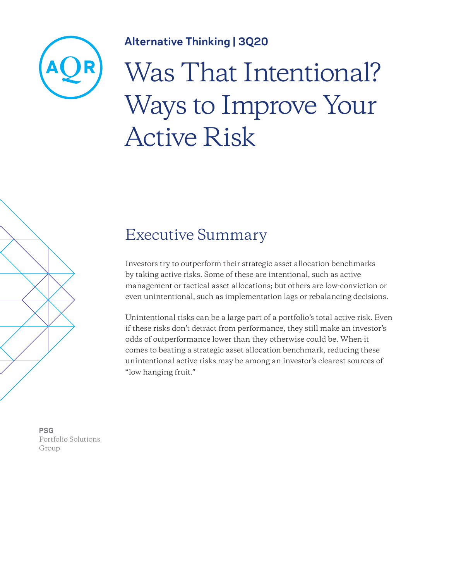

### **Alternative Thinking | 3Q20**

# Was That Intentional? Ways to Improve Your Active Risk



### Executive Summary

Investors try to outperform their strategic asset allocation benchmarks by taking active risks. Some of these are intentional, such as active management or tactical asset allocations; but others are low-conviction or even unintentional, such as implementation lags or rebalancing decisions.

Unintentional risks can be a large part of a portfolio's total active risk. Even if these risks don't detract from performance, they still make an investor's odds of outperformance lower than they otherwise could be. When it comes to beating a strategic asset allocation benchmark, reducing these unintentional active risks may be among an investor's clearest sources of "low hanging fruit."

**PSG** Portfolio Solutions Group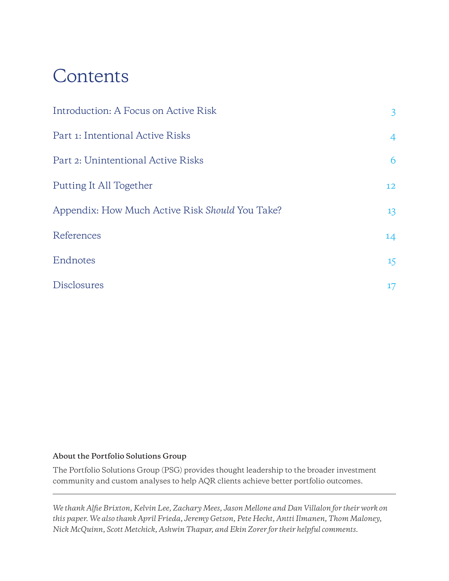## Contents

| Introduction: A Focus on Active Risk            | $\mathbf{3}$   |
|-------------------------------------------------|----------------|
| Part 1: Intentional Active Risks                | $\overline{4}$ |
| Part 2: Unintentional Active Risks              | 6              |
| Putting It All Together                         | 12             |
| Appendix: How Much Active Risk Should You Take? | 13             |
| References                                      | 14             |
| Endnotes                                        | 15             |
| <b>Disclosures</b>                              | $17 \,$        |

#### **About the Portfolio Solutions Group**

The Portfolio Solutions Group (PSG) provides thought leadership to the broader investment community and custom analyses to help AQR clients achieve better portfolio outcomes.

*We thank Alfie Brixton, Kelvin Lee, Zachary Mees, Jason Mellone and Dan Villalon for their work on this paper. We also thank April Frieda, Jeremy Getson, Pete Hecht, Antti Ilmanen, Thom Maloney, Nick McQuinn, Scott Metchick, Ashwin Thapar, and Ekin Zorer for their helpful comments.*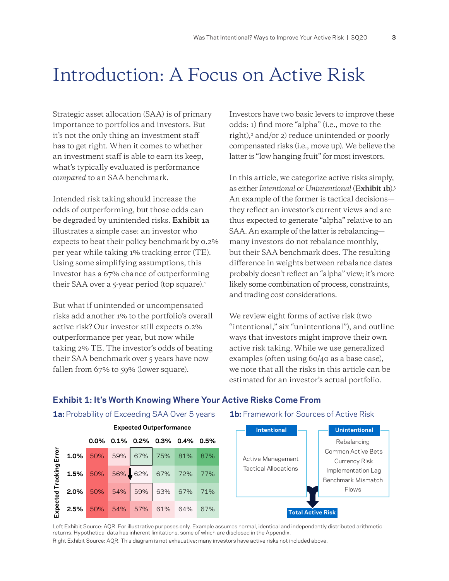### <span id="page-2-1"></span><span id="page-2-0"></span>Introduction: A Focus on Active Risk

Strategic asset allocation (SAA) is of primary importance to portfolios and investors. But it's not the only thing an investment staff has to get right. When it comes to whether an investment staff is able to earn its keep, what's typically evaluated is performance *compared* to an SAA benchmark.

Intended risk taking should increase the odds of outperforming, but those odds can be degraded by unintended risks. **Exhibit 1a** illustrates a simple case: an investor who expects to beat their policy benchmark by 0.2% per year while taking 1% tracking error (TE). Using some simplifying assumptions, this investor has a 67% chance of outperforming their SAA over a  $5$ -year period (top square).<sup>1</sup>

But what if unintended or uncompensated risks add another 1% to the portfolio's overall active risk? Our investor still expects 0.2% outperformance per year, but now while taking 2% TE. The investor's odds of beating their SAA benchmark over 5 years have now fallen from 67% to 59% (lower square).

Investors have two basic levers to improve these odds: 1) find more "alpha" (i.e., move to the right), $\alpha$  and/or 2) reduce unintended or poorly compensated risks (i.e., move up). We believe the latter is "low hanging fruit" for most investors.

In this article, we categorize active risks simply, as either *Intentional* or *Unintentional* (**Exhibit 1b**)[.3](#page-14-0) An example of the former is tactical decisions they reflect an investor's current views and are thus expected to generate "alpha" relative to an SAA. An example of the latter is rebalancing many investors do not rebalance monthly, but their SAA benchmark does. The resulting difference in weights between rebalance dates probably doesn't reflect an "alpha" view; it's more likely some combination of process, constraints, and trading cost considerations.

We review eight forms of active risk (two "intentional," six "unintentional"), and outline ways that investors might improve their own active risk taking. While we use generalized examples (often using 60/40 as a base case), we note that all the risks in this article can be estimated for an investor's actual portfolio.

#### **Exhibit 1: It's Worth Knowing Where Your Active Risks Come From**

**1a:** Probability of Exceeding SAA Over 5 years **1b:** Framework for Sources of Active Risk





Left Exhibit Source: AQR. For illustrative purposes only. Example assumes normal, identical and independently distributed arithmetic returns. Hypothetical data has inherent limitations, some of which are disclosed in the Appendix. Right Exhibit Source: AQR. This diagram is not exhaustive; many investors have active risks not included above.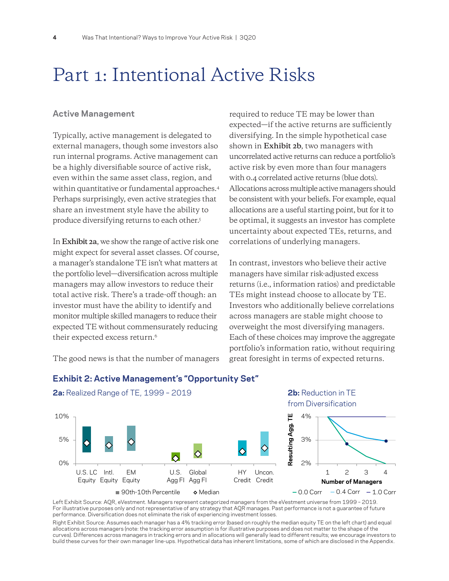### <span id="page-3-0"></span>Part 1: Intentional Active Risks

#### **Active Management**

Typically, active management is delegated to external managers, though some investors also run internal programs. Active management can be a highly diversifiable source of active risk, even within the same asset class, region, and within quantitative or fundamental approaches.[4](#page-14-0) Perhaps surprisingly, even active strategies that share an investment style have the ability to produce diversifying returns to each other[.5](#page-14-0)

In **Exhibit 2a**, we show the range of active risk one might expect for several asset classes. Of course, a manager's standalone TE isn't what matters at the portfolio level—diversification across multiple managers may allow investors to reduce their total active risk. There's a trade-off though: an investor must have the ability to identify and monitor multiple skilled managers to reduce their expected TE without commensurately reducing their expected excess return.<sup>6</sup>

The good news is that the number of managers

required to reduce TE may be lower than expected—if the active returns are sufficiently diversifying. In the simple hypothetical case shown in **Exhibit 2b**, two managers with uncorrelated active returns can reduce a portfolio's active risk by even more than four managers with 0.4 correlated active returns (blue dots). Allocations across multiple active managers should be consistent with your beliefs. For example, equal allocations are a useful starting point, but for it to be optimal, it suggests an investor has complete uncertainty about expected TEs, returns, and correlations of underlying managers.

In contrast, investors who believe their active managers have similar risk-adjusted excess returns (i.e., information ratios) and predictable TEs might instead choose to allocate by TE. Investors who additionally believe correlations across managers are stable might choose to overweight the most diversifying managers. Each of these choices may improve the aggregate portfolio's information ratio, without requiring great foresight in terms of expected returns.



#### **Exhibit 2: Active Management's "Opportunity Set"**

**2a:** Realized Range of TE, 1999 – 2019 **2b:** Reduction in TE

Left Exhibit Source: AQR, eVestment. Managers represent categorized managers from the eVestment universe from 1999 – 2019. For illustrative purposes only and not representative of any strategy that AQR manages. Past performance is not a guarantee of future performance. Diversification does not eliminate the risk of experiencing investment losses.

Right Exhibit Source: Assumes each manager has a 4% tracking error (based on roughly the median equity TE on the left chart) and equal allocations across managers (note: the tracking error assumption is for illustrative purposes and does not matter to the shape of the curves). Differences across managers in tracking errors and in allocations will generally lead to different results; we encourage investors to build these curves for their own manager line-ups. Hypothetical data has inherent limitations, some of which are disclosed in the Appendix.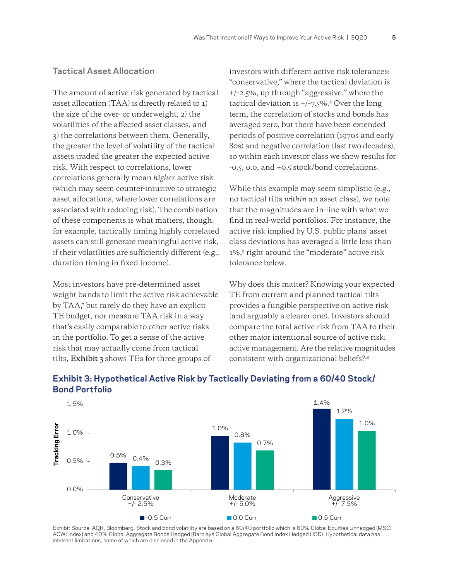#### <span id="page-4-0"></span>**Tactical Asset Allocation**

The amount of active risk generated by tactical asset allocation (TAA) is directly related to 1) the size of the over- or underweight, 2) the volatilities of the affected asset classes, and 3) the correlations between them. Generally, the greater the level of volatility of the tactical assets traded the greater the expected active risk. With respect to correlations, lower correlations generally mean *higher* active risk (which may seem counter-intuitive to strategic asset allocations, where lower correlations are associated with reducing risk). The combination of these components is what matters, though: for example, tactically timing highly correlated assets can still generate meaningful active risk, if their volatilities are sufficiently different (e.g., duration timing in fixed income).

Most investors have pre-determined asset weight bands to limit the active risk achievable by TAA[,7](#page-14-0) but rarely do they have an explicit TE budget, nor measure TAA risk in a way that's easily comparable to other active risks in the portfolio. To get a sense of the active risk that may actually come from tactical tilts, **Exhibit 3** shows TEs for three groups of

investors with different active risk tolerances: "conservative," where the tactical deviation is +/–2.5%, up through "aggressive," where the tactical deviation is  $+/-7.5\%$ .<sup>8</sup> Over the long term, the correlation of stocks and bonds has averaged zero, but there have been extended periods of positive correlation (1970s and early 80s) and negative correlation (last two decades), so within each investor class we show results for -0.5, 0.0, and +0.5 stock/bond correlations.

While this example may seem simplistic (e.g., no tactical tilts *within* an asset class), we note that the magnitudes are in-line with what we find in real-world portfolios. For instance, the active risk implied by U.S. public plans' asset class deviations has averaged a little less than 1%[,9](#page-14-0) right around the "moderate" active risk tolerance below.

Why does this matter? Knowing your expected TE from current and planned tactical tilts provides a fungible perspective on active risk (and arguably a clearer one). Investors should compare the total active risk from TAA to their other major intentional source of active risk: active management. Are the relative magnitudes consistent with organizational beliefs?[10](#page-14-0)



#### **Exhibit 3: Hypothetical Active Risk by Tactically Deviating from a 60/40 Stock/ Bond Portfolio**

Exhibit Source: AQR, Bloomberg. Stock and bond volatility are based on a 60/40 portfolio which is 60% Global Equities Unhedged (MSCI ACWI Index) and 40% Global Aggregate Bonds Hedged (Barclays Global Aggregate Bond Index Hedged USD). Hypothetical data has inherent limitations, some of which are disclosed in the Appendix.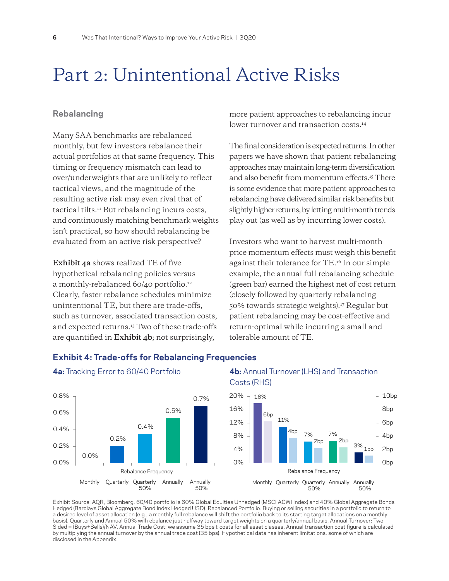### <span id="page-5-0"></span>Part 2: Unintentional Active Risks

#### **Rebalancing**

Many SAA benchmarks are rebalanced monthly, but few investors rebalance their actual portfolios at that same frequency. This timing or frequency mismatch can lead to over/underweights that are unlikely to reflect tactical views, and the magnitude of the resulting active risk may even rival that of tactical tilts[.11](#page-14-0) But rebalancing incurs costs, and continuously matching benchmark weights isn't practical, so how should rebalancing be evaluated from an active risk perspective?

**Exhibit 4a** shows realized TE of five hypothetical rebalancing policies versus a monthly-rebalanced 60/40 portfolio[.12](#page-14-0) Clearly, faster rebalance schedules minimize unintentional TE, but there are trade-offs, such as turnover, associated transaction costs, and expected returns.<sup>13</sup> Two of these trade-offs are quantified in **Exhibit 4b**; not surprisingly,

more patient approaches to rebalancing incur lower turnover and transaction costs.<sup>14</sup>

The final consideration is expected returns. In other papers we have shown that patient rebalancing approaches may maintain long-term diversification and also benefit from momentum effects.[15](#page-14-0) There is some evidence that more patient approaches to rebalancing have delivered similar risk benefits but slightly higher returns, by letting multi-month trends play out (as well as by incurring lower costs).

Investors who want to harvest multi-month price momentum effects must weigh this benefit against their tolerance for TE.[16](#page-14-0) In our simple example, the annual full rebalancing schedule (green bar) earned the highest net of cost return (closely followed by quarterly rebalancing 50% towards strategic weights)[.17](#page-14-0) Regular but patient rebalancing may be cost-effective and return-optimal while incurring a small and tolerable amount of TE.



#### **Exhibit 4: Trade-offs for Rebalancing Frequencies**





Exhibit Source: AQR, Bloomberg. 60/40 portfolio is 60% Global Equities Unhedged (MSCI ACWI Index) and 40% Global Aggregate Bonds Hedged (Barclays Global Aggregate Bond Index Hedged USD). Rebalanced Portfolio: Buying or selling securities in a portfolio to return to a desired level of asset allocation (e.g., a monthly full rebalance will shift the portfolio back to its starting target allocations on a monthly basis). Quarterly and Annual 50% will rebalance just halfway toward target weights on a quarterly/annual basis. Annual Turnover: Two Sided = (Buys+Sells)/NAV. Annual Trade Cost: we assume 35 bps t-costs for all asset classes. Annual transaction cost figure is calculated by multiplying the annual turnover by the annual trade cost (35 bps). Hypothetical data has inherent limitations, some of which are disclosed in the Appendix.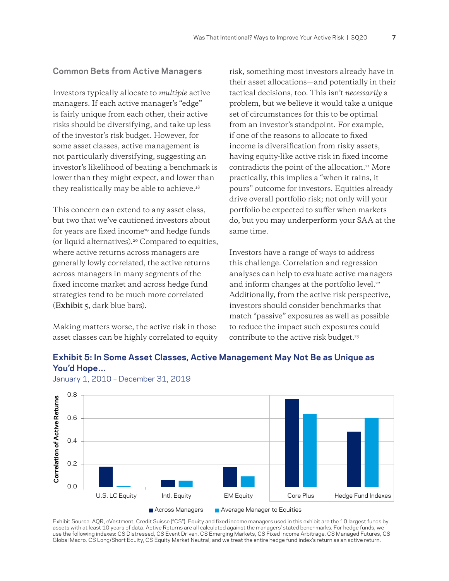#### <span id="page-6-0"></span>**Common Bets from Active Managers**

Investors typically allocate to *multiple* active managers. If each active manager's "edge" is fairly unique from each other, their active risks should be diversifying, and take up less of the investor's risk budget. However, for some asset classes, active management is not particularly diversifying, suggesting an investor's likelihood of beating a benchmark is lower than they might expect, and lower than they realistically may be able to achieve.<sup>18</sup>

This concern can extend to any asset class, but two that we've cautioned investors about for years are fixed income<sup>19</sup> and hedge funds (or liquid alternatives)[.20](#page-14-0) Compared to equities, where active returns across managers are generally lowly correlated, the active returns across managers in many segments of the fixed income market and across hedge fund strategies tend to be much more correlated (**Exhibit 5**, dark blue bars).

Making matters worse, the active risk in those asset classes can be highly correlated to equity risk, something most investors already have in their asset allocations—and potentially in their tactical decisions, too. This isn't *necessarily* a problem, but we believe it would take a unique set of circumstances for this to be optimal from an investor's standpoint. For example, if one of the reasons to allocate to fixed income is diversification from risky assets, having equity-like active risk in fixed income contradicts the point of the allocation.<sup>21</sup> More practically, this implies a "when it rains, it pours" outcome for investors. Equities already drive overall portfolio risk; not only will your portfolio be expected to suffer when markets do, but you may underperform your SAA at the same time.

Investors have a range of ways to address this challenge. Correlation and regression analyses can help to evaluate active managers and inform changes at the portfolio level.<sup>22</sup> Additionally, from the active risk perspective, investors should consider benchmarks that match "passive" exposures as well as possible to reduce the impact such exposures could contribute to the active risk budget.<sup>[23](#page-15-0)</sup>

#### **Exhibit 5: In Some Asset Classes, Active Management May Not Be as Unique as You'd Hope…**



January 1, 2010 – December 31, 2019

Exhibit Source: AQR, eVestment, Credit Suisse ("CS"). Equity and fixed income managers used in this exhibit are the 10 largest funds by assets with at least 10 years of data. Active Returns are all calculated against the managers' stated benchmarks. For hedge funds, we use the following indexes: CS Distressed, CS Event Driven, CS Emerging Markets, CS Fixed Income Arbitrage, CS Managed Futures, CS<br>Global Macro, CS Long/Short Equity, CS Equity Market Neutral; and we treat the entire hedge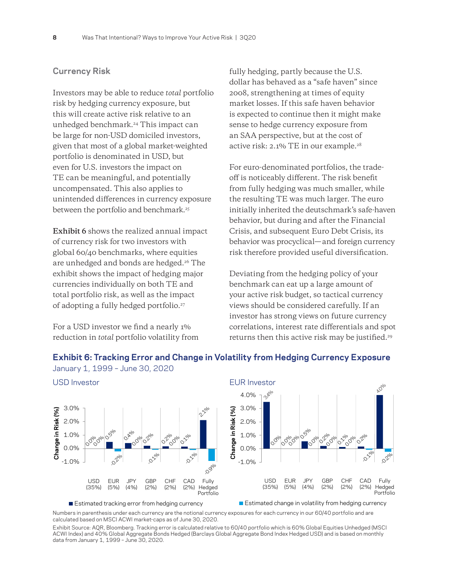#### <span id="page-7-0"></span>**Currency Risk**

Investors may be able to reduce *total* portfolio risk by hedging currency exposure, but this will create active risk relative to an unhedged benchmark.[24](#page-15-0) This impact can be large for non-USD domiciled investors, given that most of a global market-weighted portfolio is denominated in USD, but even for U.S. investors the impact on TE can be meaningful, and potentially uncompensated. This also applies to unintended differences in currency exposure between the portfolio and benchmark.<sup>[25](#page-15-0)</sup>

**Exhibit 6** shows the realized annual impact of currency risk for two investors with global 60/40 benchmarks, where equities are unhedged and bonds are hedged[.26](#page-15-0) The exhibit shows the impact of hedging major currencies individually on both TE and total portfolio risk, as well as the impact of adopting a fully hedged portfolio.[27](#page-15-0)

For a USD investor we find a nearly 1% reduction in *total* portfolio volatility from fully hedging, partly because the U.S. dollar has behaved as a "safe haven" since 2008, strengthening at times of equity market losses. If this safe haven behavior is expected to continue then it might make sense to hedge currency exposure from an SAA perspective, but at the cost of active risk: 2.1% TE in our example.[28](#page-15-0)

For euro-denominated portfolios, the tradeoff is noticeably different. The risk benefit from fully hedging was much smaller, while the resulting TE was much larger. The euro initially inherited the deutschmark's safe-haven behavior, but during and after the Financial Crisis, and subsequent Euro Debt Crisis, its behavior was procyclical—and foreign currency risk therefore provided useful diversification.

Deviating from the hedging policy of your benchmark can eat up a large amount of your active risk budget, so tactical currency views should be considered carefully. If an investor has strong views on future currency correlations, interest rate differentials and spot returns then this active risk may be justified.[29](#page-15-0)

#### **Exhibit 6: Tracking Error and Change in Volatility from Hedging Currency Exposure**



January 1, 1999 – June 30, 2020

Numbers in parenthesis under each currency are the notional currency exposures for each currency in our 60/40 portfolio and are calculated based on MSCI ACWI market-caps as of June 30, 2020.

Exhibit Source: AQR, Bloomberg. Tracking error is calculated relative to 60/40 portfolio which is 60% Global Equities Unhedged (MSCI ACWI Index) and 40% Global Aggregate Bonds Hedged (Barclays Global Aggregate Bond Index Hedged USD) and is based on monthly data from January 1, 1999 – June 30, 2020.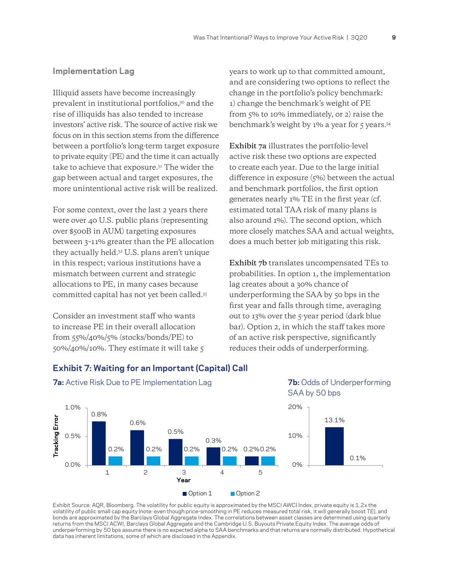#### <span id="page-8-0"></span>**Implementation Lag**

Illiquid assets have become increasingly prevalent in institutional portfolios,<sup>30</sup> and the rise of illiquids has also tended to increase investors' active risk. The source of active risk we focus on in this section stems from the difference between a portfolio's long-term target exposure to private equity (PE) and the time it can actually take to achieve that exposure[.31](#page-15-0) The wider the gap between actual and target exposures, the more unintentional active risk will be realized.

For some context, over the last 2 years there were over 40 U.S. public plans (representing over \$500B in AUM) targeting exposures between 3–11% greater than the PE allocation they actually held[.32](#page-15-0) U.S. plans aren't unique in this respect; various institutions have a mismatch between current and strategic allocations to PE, in many cases because committed capital has not yet been called[.33](#page-15-0)

Consider an investment staff who wants to increase PE in their overall allocation from 55%/40%/5% (stocks/bonds/PE) to 50%/40%/10%. They estimate it will take 5 years to work up to that committed amount, and are considering two options to reflect the change in the portfolio's policy benchmark: 1) change the benchmark's weight of PE from 5% to 10% immediately, or 2) raise the benchmark's weight by  $1\%$  a year for  $\zeta$  years.<sup>34</sup>

**Exhibit 7a** illustrates the portfolio-level active risk these two options are expected to create each year. Due to the large initial difference in exposure (5%) between the actual and benchmark portfolios, the first option generates nearly 1% TE in the first year (cf. estimated total TAA risk of many plans is also around 1%). The second option, which more closely matches SAA and actual weights, does a much better job mitigating this risk.

**Exhibit 7b** translates uncompensated TEs to probabilities. In option 1, the implementation lag creates about a 30% chance of underperforming the SAA by 50 bps in the first year and falls through time, averaging out to 13% over the 5-year period (dark blue bar). Option 2, in which the staff takes more of an active risk perspective, significantly reduces their odds of underperforming.



#### **Exhibit 7: Waiting for an Important (Capital) Call**

**7a:** Active Risk Due to PE Implementation Lag **7b:** Odds of Underperforming

Exhibit Source: AQR, Bloomberg. The volatility for public equity is approximated by the MSCI AWCI Index, private equity is 1.2x the volatility of public small cap equity (note: even though price-smoothing in PE reduces measured total risk, it will generally boost TE), and bonds are approximated by the Barclays Global Aggregate Index. The correlations between asset classes are determined using quarterly returns from the MSCI ACWI, Barclays Global Aggregate and the Cambridge U.S. Buyouts Private Equity Index. The average odds of underperforming by 50 bps assume there is no expected alpha to SAA benchmarks and that returns are normally distributed. Hypothetical data has inherent limitations, some of which are disclosed in the Appendix.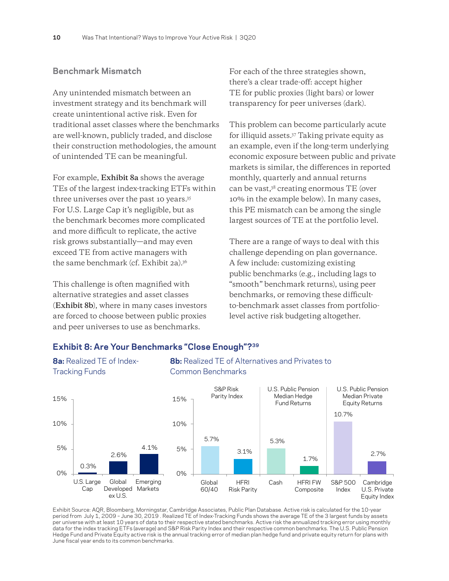#### <span id="page-9-0"></span>**Benchmark Mismatch**

Any unintended mismatch between an investment strategy and its benchmark will create unintentional active risk. Even for traditional asset classes where the benchmarks are well-known, publicly traded, and disclose their construction methodologies, the amount of unintended TE can be meaningful.

For example, **Exhibit 8a** shows the average TEs of the largest index-tracking ETFs within three universes over the past 10 years[.35](#page-15-0) For U.S. Large Cap it's negligible, but as the benchmark becomes more complicated and more difficult to replicate, the active risk grows substantially—and may even exceed TE from active managers with the same benchmark (cf. Exhibit 2a)[.36](#page-15-0)

This challenge is often magnified with alternative strategies and asset classes (**Exhibit 8b**), where in many cases investors are forced to choose between public proxies and peer universes to use as benchmarks.

For each of the three strategies shown, there's a clear trade-off: accept higher TE for public proxies (light bars) or lower transparency for peer universes (dark).

This problem can become particularly acute for illiquid assets[.37](#page-15-0) Taking private equity as an example, even if the long-term underlying economic exposure between public and private markets is similar, the differences in reported monthly, quarterly and annual returns can be vast,[38](#page-15-0) creating enormous TE (over 10% in the example below). In many cases, this PE mismatch can be among the single largest sources of TE at the portfolio level.

There are a range of ways to deal with this challenge depending on plan governance. A few include: customizing existing public benchmarks (e.g., including lags to "smooth" benchmark returns), using peer benchmarks, or removing these difficultto-benchmark asset classes from portfoliolevel active risk budgeting altogether.



#### **Exhibit 8: Are Your Benchmarks "Close Enough"?[39](#page-15-0)**

**8a:** Realized TE of Index- **8b:** Realized TE of Alternatives and Privates to

Exhibit Source: AQR, Bloomberg, Morningstar, Cambridge Associates, Public Plan Database. Active risk is calculated for the 10-year period from July 1, 2009 – June 30, 2019 . Realized TE of Index-Tracking Funds shows the average TE of the 3 largest funds by assets per universe with at least 10 years of data to their respective stated benchmarks. Active risk the annualized tracking error using monthly data for the index tracking ETFs (average) and S&P Risk Parity Index and their respective common benchmarks. The U.S. Public Pension Hedge Fund and Private Equity active risk is the annual tracking error of median plan hedge fund and private equity return for plans with June fiscal year ends to its common benchmarks.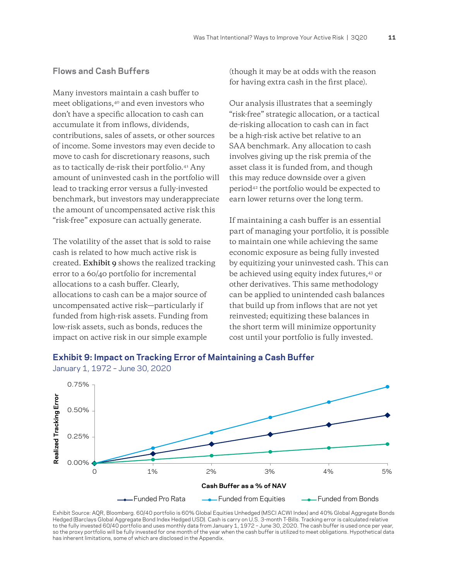#### <span id="page-10-0"></span>**Flows and Cash Buffers**

Many investors maintain a cash buffer to meet obligations,[40](#page-15-0) and even investors who don't have a specific allocation to cash can accumulate it from inflows, dividends, contributions, sales of assets, or other sources of income. Some investors may even decide to move to cash for discretionary reasons, such as to tactically de-risk their portfolio[.41](#page-15-0) Any amount of uninvested cash in the portfolio will lead to tracking error versus a fully-invested benchmark, but investors may underappreciate the amount of uncompensated active risk this "risk-free" exposure can actually generate.

The volatility of the asset that is sold to raise cash is related to how much active risk is created. **Exhibit 9** shows the realized tracking error to a 60/40 portfolio for incremental allocations to a cash buffer. Clearly, allocations to cash can be a major source of uncompensated active risk—particularly if funded from high-risk assets. Funding from low-risk assets, such as bonds, reduces the impact on active risk in our simple example

(though it may be at odds with the reason for having extra cash in the first place).

Our analysis illustrates that a seemingly "risk-free" strategic allocation, or a tactical de-risking allocation to cash can in fact be a high-risk active bet relative to an SAA benchmark. Any allocation to cash involves giving up the risk premia of the asset class it is funded from, and though this may reduce downside over a given period[42](#page-15-0) the portfolio would be expected to earn lower returns over the long term.

If maintaining a cash buffer is an essential part of managing your portfolio, it is possible to maintain one while achieving the same economic exposure as being fully invested by equitizing your uninvested cash. This can be achieved using equity index futures,[43](#page-15-0) or other derivatives. This same methodology can be applied to unintended cash balances that build up from inflows that are not yet reinvested; equitizing these balances in the short term will minimize opportunity cost until your portfolio is fully invested.





Exhibit Source: AQR, Bloomberg. 60/40 portfolio is 60% Global Equities Unhedged (MSCI ACWI Index) and 40% Global Aggregate Bonds Hedged (Barclays Global Aggregate Bond Index Hedged USD). Cash is carry on U.S. 3-month T-Bills. Tracking error is calculated relative to the fully invested 60/40 portfolio and uses monthly data from January 1, 1972 – June 30, 2020. The cash buffer is used once per year, so the proxy portfolio will be fully invested for one month of the year when the cash buffer is utilized to meet obligations. Hypothetical data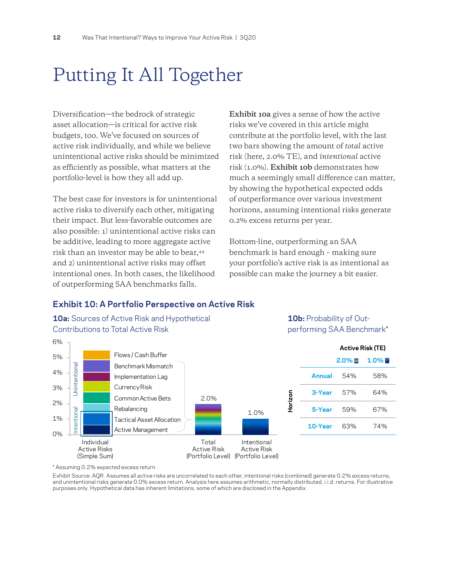## <span id="page-11-0"></span>Putting It All Together

Diversification—the bedrock of strategic asset allocation—is critical for active risk budgets, too. We've focused on sources of active risk individually, and while we believe unintentional active risks should be minimized as efficiently as possible, what matters at the portfolio-level is how they all add up.

The best case for investors is for unintentional active risks to diversify each other, mitigating their impact. But less-favorable outcomes are also possible: 1) unintentional active risks can be additive, leading to more aggregate active risk than an investor may be able to bear,[44](#page-15-0) and 2) unintentional active risks may offset intentional ones. In both cases, the likelihood of outperforming SAA benchmarks falls.

**Exhibit 10a** gives a sense of how the active risks we've covered in this article might contribute at the portfolio level, with the last two bars showing the amount of *total* active risk (here, 2.0% TE), and *intentional* active risk (1.0%). **Exhibit 10b** demonstrates how much a seemingly small difference can matter, by showing the hypothetical expected odds of outperformance over various investment horizons, assuming intentional risks generate 0.2% excess returns per year.

Bottom-line, outperforming an SAA benchmark is hard enough – making sure your portfolio's active risk is as intentional as possible can make the journey a bit easier.

### **Exhibit 10: A Portfolio Perspective on Active Risk**

**10a:** Sources of Active Risk and Hypothetical **10b:** Probability of Out-Contributions to Total Active Risk extended to the set of the performing SAA Benchmark\*



\* Assuming 0.2% expected excess return

Exhibit Source: AQR. Assumes all active risks are uncorrelated to each other, intentional risks (combined) generate 0.2% excess returns, and unintentional risks generate 0.0% excess return. Analysis here assumes arithmetic, normally distributed, i.i.d. returns. For illustrative purposes only. Hypothetical data has inherent limitations, some of which are disclosed in the Appendix.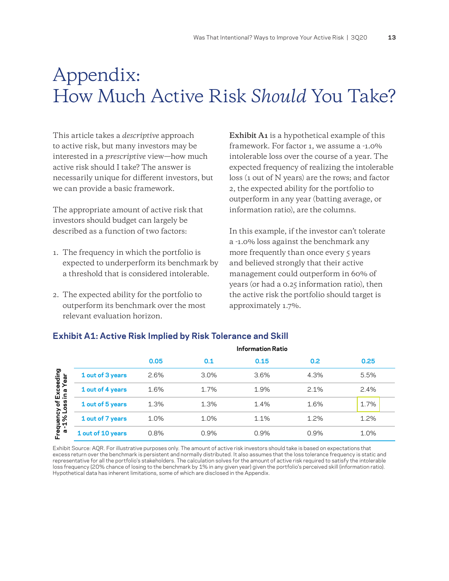### <span id="page-12-0"></span>Appendix: How Much Active Risk *Should* You Take?

This article takes a *descriptive* approach to active risk, but many investors may be interested in a *prescriptive* view—how much active risk should I take? The answer is necessarily unique for different investors, but we can provide a basic framework.

The appropriate amount of active risk that investors should budget can largely be described as a function of two factors:

- 1. The frequency in which the portfolio is expected to underperform its benchmark by a threshold that is considered intolerable.
- 2. The expected ability for the portfolio to outperform its benchmark over the most relevant evaluation horizon.

**Exhibit A1** is a hypothetical example of this framework. For factor 1, we assume a -1.0% intolerable loss over the course of a year. The expected frequency of realizing the intolerable loss (1 out of N years) are the rows; and factor 2, the expected ability for the portfolio to outperform in any year (batting average, or information ratio), are the columns.

In this example, if the investor can't tolerate a -1.0% loss against the benchmark any more frequently than once every 5 years and believed strongly that their active management could outperform in 60% of years (or had a 0.25 information ratio), then the active risk the portfolio should target is approximately 1.7%.

|                                                                        |                   | <b>Information Ratio</b> |      |      |      |      |
|------------------------------------------------------------------------|-------------------|--------------------------|------|------|------|------|
|                                                                        |                   | 0.05                     | 0.1  | 0.15 | 0.2  | 0.25 |
| Exceeding<br>in a Year<br>a<br>10 <sup>1</sup><br>Frequency<br>a-1% Lo | 1 out of 3 years  | 2.6%                     | 3.0% | 3.6% | 4.3% | 5.5% |
|                                                                        | 1 out of 4 years  | 1.6%                     | 1.7% | 1.9% | 2.1% | 2.4% |
|                                                                        | 1 out of 5 years  | 1.3%                     | 1.3% | 1.4% | 1.6% | 1.7% |
|                                                                        | 1 out of 7 years  | 1.0%                     | 1.0% | 1.1% | 1.2% | 1.2% |
|                                                                        | 1 out of 10 years | 0.8%                     | 0.9% | 0.9% | 0.9% | 1.0% |

#### **Exhibit A1: Active Risk Implied by Risk Tolerance and Skill**

Exhibit Source: AQR. For illustrative purposes only. The amount of active risk investors should take is based on expectations that excess return over the benchmark is persistent and normally distributed. It also assumes that the loss tolerance frequency is static and representative for all the portfolio's stakeholders. The calculation solves for the amount of active risk required to satisfy the intolerable loss frequency (20% chance of losing to the benchmark by 1% in any given year) given the portfolio's perceived skill (information ratio). Hypothetical data has inherent limitations, some of which are disclosed in the Appendix.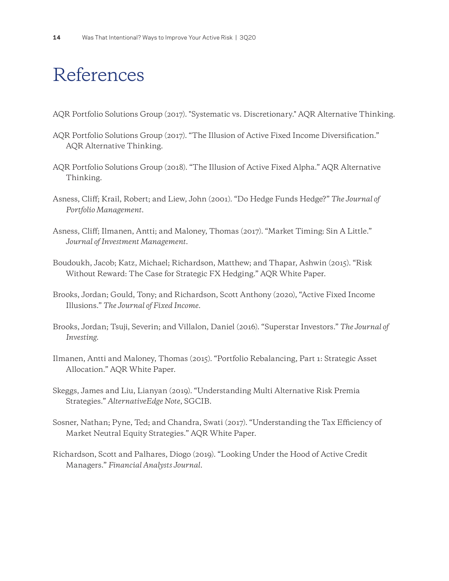### <span id="page-13-1"></span><span id="page-13-0"></span>References

- AQR Portfolio Solutions Group (2017). "Systematic vs. Discretionary." AQR Alternative Thinking.
- AQR Portfolio Solutions Group (2017). "The Illusion of Active Fixed Income Diversification." AQR Alternative Thinking.
- AQR Portfolio Solutions Group (2018). "The Illusion of Active Fixed Alpha." AQR Alternative Thinking.
- Asness, Cliff; Krail, Robert; and Liew, John (2001). "Do Hedge Funds Hedge?" *The Journal of Portfolio Management*.
- Asness, Cliff; Ilmanen, Antti; and Maloney, Thomas (2017). "Market Timing: Sin A Little." *Journal of Investment Management*.
- Boudoukh, Jacob; Katz, Michael; Richardson, Matthew; and Thapar, Ashwin (2015). "Risk Without Reward: The Case for Strategic FX Hedging." AQR White Paper.
- Brooks, Jordan; Gould, Tony; and Richardson, Scott Anthony (2020), "Active Fixed Income Illusions." *The Journal of Fixed Income.*
- Brooks, Jordan; Tsuji, Severin; and Villalon, Daniel (2016). "Superstar Investors." *The Journal of Investing*.
- Ilmanen, Antti and Maloney, Thomas (2015). "Portfolio Rebalancing, Part 1: Strategic Asset Allocation." AQR White Paper.
- Skeggs, James and Liu, Lianyan (2019). "Understanding Multi Alternative Risk Premia Strategies." *AlternativeEdge Note*, SGCIB.
- Sosner, Nathan; Pyne, Ted; and Chandra, Swati (2017). "Understanding the Tax Efficiency of Market Neutral Equity Strategies." AQR White Paper.
- Richardson, Scott and Palhares, Diogo (2019). "Looking Under the Hood of Active Credit Managers." *Financial Analysts Journal*.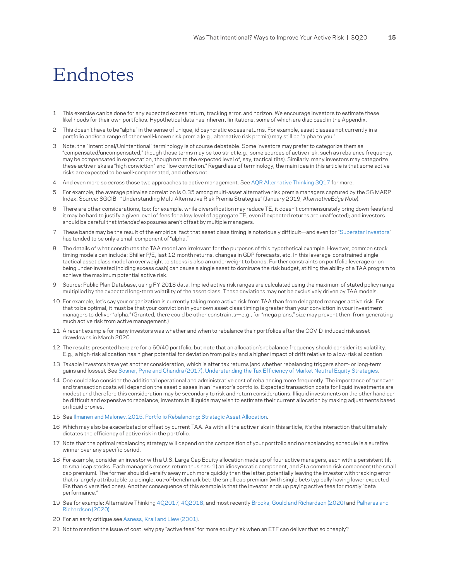### <span id="page-14-0"></span>Endnotes

- [1](#page-2-1) This exercise can be done for any expected excess return, tracking error, and horizon. We encourage investors to estimate these likelihoods for their own portfolios. Hypothetical data has inherent limitations, some of which are disclosed in the Appendix.
- This doesn't have to be "alpha" in the sense of unique, idiosyncratic excess returns. For example, asset classes not currently in a portfolio and/or a range of other well-known risk premia (e.g., alternative risk premia) may still be "alpha to you."
- [3](#page-2-1) Note: the "Intentional/Unintentional" terminology is of course debatable. Some investors may prefer to categorize them as "compensated/uncompensated," though those terms may be too strict (e.g., some sources of active risk, such as rebalance frequency, may be compensated in expectation, though not to the expected level of, say, tactical tilts). Similarly, many investors may categorize these active risks as "high conviction" and "low conviction." Regardless of terminology, the main idea in this article is that some active risks are expected to be well-compensated, and others not.
- [4](#page-3-0) And even more so *across* those two approaches to active management. See [AQR Alternative Thinking 3Q17](https://www.aqr.com/Insights/Research/Alternative-Thinking/Systematic-vs-Discretionary) for more.
- [5](#page-3-0) For example, the average pairwise correlation is 0.35 among multi-asset alternative risk premia managers captured by the SG MARP Index. Source: SGCIB - "Understanding Multi Alternative Risk Premia Strategies" (January 2019, *AlternativeEdge Note*).
- [6](#page-3-0)  There are other considerations, too: for example, while diversification may reduce TE, it doesn't commensurately bring down fees (and it may be hard to justify a given level of fees for a low level of aggregate TE, even if expected returns are unaffected); and investors should be careful that *intended* exposures aren't offset by multiple managers.
- [7](#page-4-0)  These bands may be the result of the empirical fact that asset class timing is notoriously difficult—and even for "[Superstar Investors](https://www.aqr.com/Insights/Research/Alternative-Thinking/Superstar-Investors)" has tended to be only a small component of "alpha."
- [8](#page-4-0) The details of what constitutes the TAA model are irrelevant for the purposes of this hypothetical example. However, common stock timing models can include: Shiller P/E, last 12-month returns, changes in GDP forecasts, etc. In this leverage-constrained single tactical asset class model an overweight to stocks is also an underweight to bonds. Further constraints on portfolio leverage or on being under-invested (holding excess cash) can cause a single asset to dominate the risk budget, stifling the ability of a TAA program to achieve the maximum potential active risk.
- [9](#page-4-0) Source: Public Plan Database, using FY 2018 data. Implied active risk ranges are calculated using the maximum of stated policy range multiplied by the expected long-term volatility of the asset class. These deviations may not be exclusively driven by TAA models.
- [10](#page-4-0) For example, let's say your organization is currently taking more active risk from TAA than from delegated manager active risk. For that to be optimal, it must be that your conviction in your own asset class timing is greater than your conviction in your investment managers to deliver "alpha." (Granted, there could be other constraints—e.g., for "mega plans," size may prevent them from generating much active risk from active management.)
- [11](#page-5-0) A recent example for many investors was whether and when to rebalance their portfolios after the COVID-induced risk asset drawdowns in March 2020.
- [12](#page-5-0) The results presented here are for a 60/40 portfolio, but note that an allocation's rebalance frequency should consider its volatility. E.g., a high-risk allocation has higher potential for deviation from policy and a higher impact of drift relative to a low-risk allocation.
- [13](#page-5-0) Taxable investors have yet another consideration, which is after tax returns (and whether rebalancing triggers short- or long-term gains and losses). See [Sosner, Pyne and Chandra \(2017\)](https://www.aqr.com/Insights/Research/White-Papers/Understanding-the-Tax-Efficiency-of-Market-Neutral-Equity-Strategies), [Understanding](https://www.aqr.com/Insights/Research/White-Papers/Understanding-the-Tax-Efficiency-of-Market-Neutral-Equity-Strategies) the Tax Efficiency of Market Neutral Equity Strategies.
- [14](#page-5-0) One could also consider the additional operational and administrative cost of rebalancing more frequently. The importance of turnover and transaction costs will depend on the asset classes in an investor's portfolio. Expected transaction costs for liquid investments are modest and therefore this consideration may be secondary to risk and return considerations. Illiquid investments on the other hand can be difficult and expensive to rebalance; investors in illiquids may wish to estimate their current allocation by making adjustments based on liquid proxies.
- [15](#page-5-0) See [Ilmanen and Maloney, 2015, Portfolio Rebalancing: Strategic Asset Allocation](https://www.aqr.com/Insights/Research/White-Papers/Portfolio-Rebalancing-Part-1-Strategic-Asset-Allocation).
- [16](#page-5-0) Which may also be exacerbated or offset by current TAA. As with all the active risks in this article, it's the interaction that ultimately dictates the efficiency of active risk in the portfolio.
- [17](#page-5-0) Note that the optimal rebalancing strategy will depend on the composition of your portfolio and no rebalancing schedule is a surefire winner over any specific period.
- [18](#page-6-0) For example, consider an investor with a U.S. Large Cap Equity allocation made up of four active managers, each with a persistent tilt to small cap stocks. Each manager's excess return thus has: 1) an idiosyncratic component, and 2) a common risk component (the small cap premium). The former should diversify away much more quickly than the latter, potentially leaving the investor with tracking error that is largely attributable to a single, out-of-benchmark bet: the small cap premium (with single bets typically having lower expected IRs than diversified ones). Another consequence of this example is that the investor ends up paying active fees for mostly "beta performance."
- [19](#page-6-0) See for example: Alternative Thinking [4Q2017](https://www.aqr.com/Insights/Research/Alternative-Thinking/The-Illusion-of-Active-Fixed-Income-Diversification), [4Q2018](https://www.aqr.com/Insights/Research/Alternative-Thinking/The-Illusion-of-Active-Fixed-Income-Alpha), and most recently [Brooks, Gould and Richardson \(2020\)](https://www.aqr.com/Insights/Research/Journal-Article/Active-Fixed-Income-Illusions) and [Palhares and](https://www.aqr.com/Insights/Research/Working-Paper/Looking-Under-the-Hood-of-Active-Credit-Managers)  [Richardson \(2020\)](https://www.aqr.com/Insights/Research/Working-Paper/Looking-Under-the-Hood-of-Active-Credit-Managers).
- [20](#page-6-0) For an early critique see [Asness, Krail and Liew \(2001\).](https://www.aqr.com/Insights/Research/Journal-Article/Do-Hedge-Funds-Hedge)
- [21](#page-6-0) Not to mention the issue of cost: why pay "active fees" for more equity risk when an ETF can deliver that so cheaply?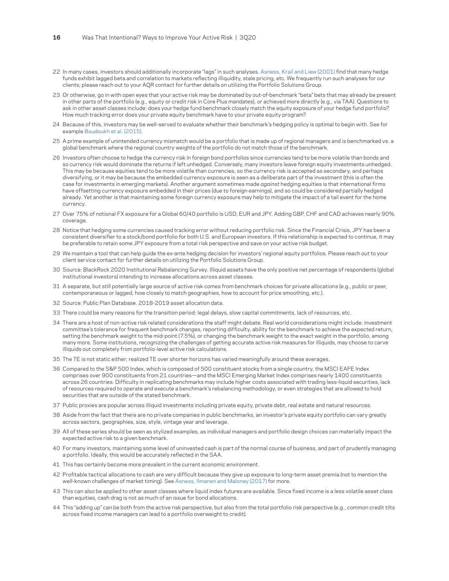- <span id="page-15-0"></span>[22](#page-6-0) In many cases, investors should additionally incorporate "lags" in such analyses. [Asness, Krail and Liew \(2001\)](https://www.aqr.com/Insights/Research/Journal-Article/Do-Hedge-Funds-Hedge) find that many hedge funds exhibit lagged beta and correlation to markets reflecting illiquidity, stale pricing, etc. We frequently run such analyses for our clients; please reach out to your AQR contact for further details on utilizing the Portfolio Solutions Group.
- [23](#page-6-0) Or otherwise, go in with open eyes that your active risk may be dominated by out-of-benchmark "beta" bets that may already be present in other parts of the portfolio (e.g., equity or credit risk in Core Plus mandates), or achieved more directly (e.g., via TAA). Questions to ask in other asset classes include: does your hedge fund benchmark closely match the equity exposure of your hedge fund portfolio? How much tracking error does your private equity benchmark have to your private equity program?
- [24](#page-7-0) Because of this, investors may be well-served to evaluate whether their benchmark's hedging policy is optimal to begin with. See for example [Boudoukh et al. \(2015\).](https://www.aqr.com/Insights/Research/White-Papers/Risk-Without-Reward-The-Case-for-Strategic-FX-Hedging)
- [25](#page-7-0) A prime example of unintended currency mismatch would be a portfolio that is made up of regional managers and is benchmarked vs. a global benchmark where the regional country weights of the portfolio do not match those of the benchmark.
- [26](#page-7-0) Investors often choose to hedge the currency risk in foreign bond portfolios since currencies tend to be more volatile than bonds and so currency risk would dominate the returns if left unhedged. Conversely, many investors leave foreign equity investments unhedged. This may be because equities tend to be more volatile than currencies, so the currency risk is accepted as secondary, and perhaps diversifying, or it may be because the embedded currency exposure is seen as a deliberate part of the investment (this is often the case for investments in emerging markets). Another argument sometimes made *against* hedging equities is that international firms have offsetting currency exposure embedded in their prices (due to foreign earnings), and so could be considered partially hedged already. Yet another is that maintaining some foreign currency exposure may help to mitigate the impact of a tail event for the home currency.
- [27](#page-7-0) Over 75% of notional FX exposure for a Global 60/40 portfolio is USD, EUR and JPY. Adding GBP, CHF and CAD achieves nearly 90% coverage.
- [28](#page-7-0) Notice that hedging some currencies caused tracking error without reducing portfolio risk. Since the Financial Crisis, JPY has been a consistent diversifier to a stock/bond portfolio for both U.S. and European investors. If this relationship is expected to continue, it may be preferable to retain some JPY exposure from a total risk perspective and save on your active risk budget.
- [29](#page-7-0) We maintain a tool that can help guide the ex-ante hedging decision for investors' regional equity portfolios. Please reach out to your client service contact for further details on utilizing the Portfolio Solutions Group.
- [30](#page-8-0) Source: BlackRock 2020 Institutional Rebalancing Survey. Illiquid assets have the only positive net percentage of respondents (global institutional investors) intending to increase allocations across asset classes.
- [31](#page-8-0) A separate, but still potentially large source of active risk comes from benchmark choices for private allocations (e.g., public or peer, contemporaneous or lagged, how closely to match geographies, how to account for price smoothing, etc.).
- [32](#page-8-0) Source: Public Plan Database. 2018-2019 asset allocation data.
- [33](#page-8-0) There could be many reasons for the transition period: legal delays, slow capital commitments, lack of resources, etc.
- [34](#page-8-0) There are a host of non-active risk related considerations the staff might debate. Real world considerations might include: investment committee's tolerance for frequent benchmark changes, reporting difficulty, ability for the benchmark to achieve the expected return, setting the benchmark weight to the mid-point (7.5%), or changing the benchmark weight to the exact weight in the portfolio, among many more. Some institutions, recognizing the challenges of getting accurate active risk measures for illiquids, may choose to carve illiquids out completely from portfolio-level active risk calculations.
- [35](#page-9-0) The TE is not static either; realized TE over shorter horizons has varied meaningfully around these averages.
- [36](#page-9-0) Compared to the S&P 500 Index, which is composed of 500 constituent stocks from a single country, the MSCI EAFE Index comprises over 900 constituents from 21 countries—and the MSCI Emerging Market Index comprises nearly 1400 constituents across 26 countries. Difficulty in replicating benchmarks may include higher costs associated with trading less-liquid securities, lack of resources required to operate and execute a benchmark's rebalancing methodology, or even strategies that are allowed to hold securities that are outside of the stated benchmark.
- [37](#page-9-0) Public proxies are popular across illiquid investments including private equity, private debt, real estate and natural resources.
- [38](#page-9-0) Aside from the fact that there are no private companies in public benchmarks, an investor's private equity portfolio can vary greatly across sectors, geographies, size, style, vintage year and leverage.
- [39](#page-9-0) All of these series should be seen as stylized examples, as individual managers and portfolio design choices can materially impact the expected active risk to a given benchmark.
- [40](#page-10-0) For many investors, maintaining some level of uninvested cash is part of the normal course of business, and part of prudently managing a portfolio. Ideally, this would be accurately reflected in the SAA.
- [41](#page-10-0) This has certainly become more prevalent in the current economic environment.
- [42](#page-10-0) Profitable tactical allocations to cash are very difficult because they give up exposure to long-term asset premia (not to mention the well-known challenges of market timing). See [Asness, Ilmanen and Maloney \(2017\)](https://www.aqr.com/Insights/Research/White-Papers/Market-Timing-Sin-a-Little) for more.
- [43](#page-10-0) This can also be applied to other asset classes where liquid index futures are available. Since fixed income is a less volatile asset class than equities, cash drag is not as much of an issue for bond allocations.
- [44](#page-11-0) This "adding up" can be both from the active risk perspective, but also from the total portfolio risk perspective (e.g., common credit tilts across fixed income managers can lead to a portfolio overweight to credit).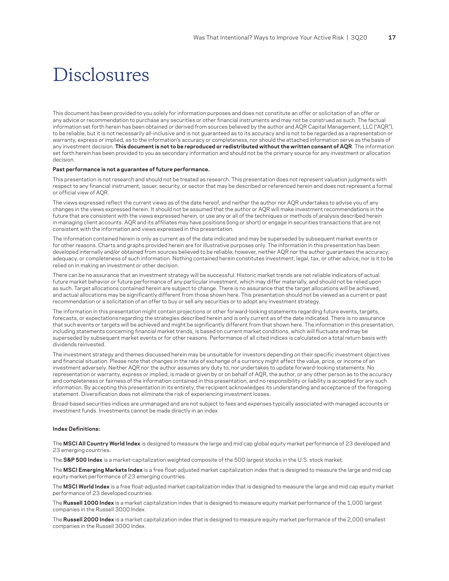### <span id="page-16-0"></span>Disclosures

This document has been provided to you solely for information purposes and does not constitute an offer or solicitation of an offer or any advice or recommendation to purchase any securities or other financial instruments and may not be construed as such. The factual information set forth herein has been obtained or derived from sources believed by the author and AQR Capital Management, LLC ("AQR"), to be reliable, but it is not necessarily all-inclusive and is not guaranteed as to its accuracy and is not to be regarded as a representation or warranty, express or implied, as to the information's accuracy or completeness, nor should the attached information serve as the basis of any investment decision. **This document is not to be reproduced or redistributed without the written consent of AQR**. The information set forth herein has been provided to you as secondary information and should not be the primary source for any investment or allocation decision.

#### **Past performance is not a guarantee of future performance.**

This presentation is not research and should not be treated as research. This presentation does not represent valuation judgments with respect to any financial instrument, issuer, security, or sector that may be described or referenced herein and does not represent a formal or official view of AQR.

The views expressed reflect the current views as of the date hereof, and neither the author nor AQR undertakes to advise you of any changes in the views expressed herein. It should not be assumed that the author or AQR will make investment recommendations in the future that are consistent with the views expressed herein, or use any or all of the techniques or methods of analysis described herein in managing client accounts. AQR and its affiliates may have positions (long or short) or engage in securities transactions that are not consistent with the information and views expressed in this presentation.

The information contained herein is only as current as of the date indicated and may be superseded by subsequent market events or for other reasons. Charts and graphs provided herein are for illustrative purposes only. The information in this presentation has been developed internally and/or obtained from sources believed to be reliable; however, neither AQR nor the author guarantees the accuracy, adequacy, or completeness of such information. Nothing contained herein constitutes investment, legal, tax, or other advice, nor is it to be relied on in making an investment or other decision.

There can be no assurance that an investment strategy will be successful. Historic market trends are not reliable indicators of actual future market behavior or future performance of any particular investment, which may differ materially, and should not be relied upon as such. Target allocations contained herein are subject to change. There is no assurance that the target allocations will be achieved, and actual allocations may be significantly different from those shown here. This presentation should not be viewed as a current or past recommendation or a solicitation of an offer to buy or sell any securities or to adopt any investment strategy.

The information in this presentation might contain projections or other forward-looking statements regarding future events, targets, forecasts, or expectations regarding the strategies described herein and is only current as of the date indicated. There is no assurance that such events or targets will be achieved and might be significantly different from that shown here. The information in this presentation, including statements concerning financial market trends, is based on current market conditions, which will fluctuate and may be superseded by subsequent market events or for other reasons. Performance of all cited indices is calculated on a total return basis with dividends reinvested.

The investment strategy and themes discussed herein may be unsuitable for investors depending on their specific investment objectives and financial situation. Please note that changes in the rate of exchange of a currency might affect the value, price, or income of an investment adversely. Neither AQR nor the author assumes any duty to, nor undertakes to update forward-looking statements. No representation or warranty, express or implied, is made or given by or on behalf of AQR, the author, or any other person as to the accuracy and completeness or fairness of the information contained in this presentation, and no responsibility or liability is accepted for any such information. By accepting this presentation in its entirety, the recipient acknowledges its understanding and acceptance of the foregoing statement. Diversification does not eliminate the risk of experiencing investment losses.

Broad-based securities indices are unmanaged and are not subject to fees and expenses typically associated with managed accounts or investment funds. Investments cannot be made directly in an index

#### **Index Definitions:**

The **MSCI All Country World Index** is designed to measure the large and mid cap global equity market performance of 23 developed and 23 emerging countries.

The **S&P 500 Index** is a market-capitalization weighted composite of the 500 largest stocks in the U.S. stock market.

The **MSCI Emerging Markets Index** is a free float-adjusted market capitalization index that is designed to measure the large and mid cap equity market performance of 23 emerging countries.

The **MSCI World Index** is a free float-adjusted market capitalization index that is designed to measure the large and mid cap equity market performance of 23 developed countries.

The **Russell 1000 Index** is a market capitalization index that is designed to measure equity market performance of the 1,000 largest companies in the Russell 3000 Index.

The **Russell 2000 Index** is a market capitalization index that is designed to measure equity market performance of the 2,000 smallest companies in the Russell 3000 Index.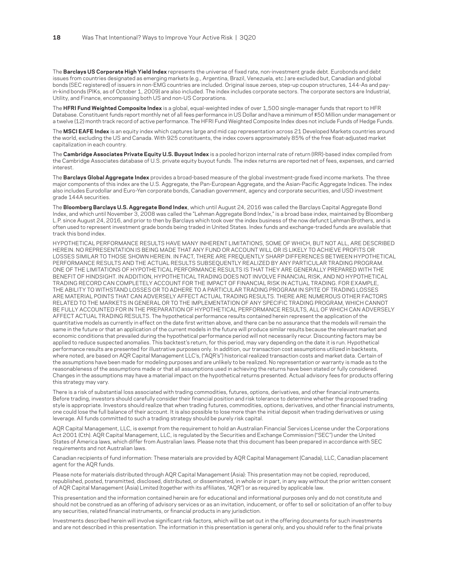The **Barclays US Corporate High Yield Index** represents the universe of fixed rate, non-investment grade debt. Eurobonds and debt issues from countries designated as emerging markets (e.g., Argentina, Brazil, Venezuela, etc.) are excluded but, Canadian and global bonds (SEC registered) of issuers in non-EMG countries are included. Original issue zeroes, step-up coupon structures, 144-As and payin-kind bonds (PIKs, as of October 1, 2009) are also included. The index includes corporate sectors. The corporate sectors are Industrial, Utility, and Finance, encompassing both US and non-US Corporations.

The **HFRI Fund Weighted Composite Index** is a global, equal-weighted index of over 1,500 single-manager funds that report to HFR Database. Constituent funds report monthly net of all fees performance in US Dollar and have a minimum of \$50 Million under management or a twelve (12) month track record of active performance. The HFRI Fund Weighted Composite Index does not include Funds of Hedge Funds.

The **MSCI EAFE Index** is an equity index which captures large and mid cap representation across 21 Developed Markets countries around the world, excluding the US and Canada. With 925 constituents, the index covers approximately 85% of the free float-adjusted market capitalization in each country.

The **Cambridge Associates Private Equity U.S. Buyout Index** is a pooled horizon internal rate of return (IRR)-based index compiled from the Cambridge Associates database of U.S. private equity buyout funds. The index returns are reported net of fees, expenses, and carried interest.

The **Barclays Global Aggregate Index** provides a broad-based measure of the global investment-grade fixed income markets. The three major components of this index are the U.S. Aggregate, the Pan-European Aggregate, and the Asian-Pacific Aggregate Indices. The index also includes Eurodollar and Euro-Yen corporate bonds, Canadian government, agency and corporate securities, and USD investment grade 144A securities.

The **Bloomberg Barclays U.S. Aggregate Bond Index**, which until August 24, 2016 was called the Barclays Capital Aggregate Bond Index, and which until November 3, 2008 was called the "Lehman Aggregate Bond Index," is a broad base index, maintained by Bloomberg L.P. since August 24, 2016, and prior to then by Barclays which took over the index business of the now defunct Lehman Brothers, and is often used to represent investment grade bonds being traded in United States. Index funds and exchange-traded funds are available that track this bond index.

HYPOTHETICAL PERFORMANCE RESULTS HAVE MANY INHERENT LIMITATIONS, SOME OF WHICH, BUT NOT ALL, ARE DESCRIBED HEREIN. NO REPRESENTATION IS BEING MADE THAT ANY FUND OR ACCOUNT WILL OR IS LIKELY TO ACHIEVE PROFITS OR LOSSES SIMILAR TO THOSE SHOWN HEREIN. IN FACT, THERE ARE FREQUENTLY SHARP DIFFERENCES BETWEEN HYPOTHETICAL PERFORMANCE RESULTS AND THE ACTUAL RESULTS SUBSEQUENTLY REALIZED BY ANY PARTICULAR TRADING PROGRAM. ONE OF THE LIMITATIONS OF HYPOTHETICAL PERFORMANCE RESULTS IS THAT THEY ARE GENERALLY PREPARED WITH THE BENEFIT OF HINDSIGHT. IN ADDITION, HYPOTHETICAL TRADING DOES NOT INVOLVE FINANCIAL RISK, AND NO HYPOTHETICAL TRADING RECORD CAN COMPLETELY ACCOUNT FOR THE IMPACT OF FINANCIAL RISK IN ACTUAL TRADING. FOR EXAMPLE, THE ABILITY TO WITHSTAND LOSSES OR TO ADHERE TO A PARTICULAR TRADING PROGRAM IN SPITE OF TRADING LOSSES ARE MATERIAL POINTS THAT CAN ADVERSELY AFFECT ACTUAL TRADING RESULTS. THERE ARE NUMEROUS OTHER FACTORS RELATED TO THE MARKETS IN GENERAL OR TO THE IMPLEMENTATION OF ANY SPECIFIC TRADING PROGRAM, WHICH CANNOT BE FULLY ACCOUNTED FOR IN THE PREPARATION OF HYPOTHETICAL PERFORMANCE RESULTS, ALL OF WHICH CAN ADVERSELY AFFECT ACTUAL TRADING RESULTS. The hypothetical performance results contained herein represent the application of the quantitative models as currently in effect on the date first written above, and there can be no assurance that the models will remain the same in the future or that an application of the current models in the future will produce similar results because the relevant market and economic conditions that prevailed during the hypothetical performance period will not necessarily recur. Discounting factors may be applied to reduce suspected anomalies. This backtest's return, for this period, may vary depending on the date it is run. Hypothetical performance results are presented for illustrative purposes only. In addition, our transaction cost assumptions utilized in backtests, where noted, are based on AQR Capital Management LLC's, ("AQR's") historical realized transaction costs and market data. Certain of the assumptions have been made for modeling purposes and are unlikely to be realized. No representation or warranty is made as to the reasonableness of the assumptions made or that all assumptions used in achieving the returns have been stated or fully considered. Changes in the assumptions may have a material impact on the hypothetical returns presented. Actual advisory fees for products offering this strategy may vary.

There is a risk of substantial loss associated with trading commodities, futures, options, derivatives, and other financial instruments. Before trading, investors should carefully consider their financial position and risk tolerance to determine whether the proposed trading style is appropriate. Investors should realize that when trading futures, commodities, options, derivatives, and other financial instruments, one could lose the full balance of their account. It is also possible to lose more than the initial deposit when trading derivatives or using leverage. All funds committed to such a trading strategy should be purely risk capital.

AQR Capital Management, LLC, is exempt from the requirement to hold an Australian Financial Services License under the Corporations Act 2001 (Cth). AQR Capital Management, LLC, is regulated by the Securities and Exchange Commission ("SEC") under the United States of America laws, which differ from Australian laws. Please note that this document has been prepared in accordance with SEC requirements and not Australian laws.

Canadian recipients of fund information: These materials are provided by AQR Capital Management (Canada), LLC, Canadian placement agent for the AQR funds.

Please note for materials distributed through AQR Capital Management (Asia): This presentation may not be copied, reproduced, republished, posted, transmitted, disclosed, distributed, or disseminated, in whole or in part, in any way without the prior written consent of AQR Capital Management (Asia) Limited (together with its affiliates, "AQR") or as required by applicable law.

This presentation and the information contained herein are for educational and informational purposes only and do not constitute and should not be construed as an offering of advisory services or as an invitation, inducement, or offer to sell or solicitation of an offer to buy any securities, related financial instruments, or financial products in any jurisdiction.

Investments described herein will involve significant risk factors, which will be set out in the offering documents for such investments and are not described in this presentation. The information in this presentation is general only, and you should refer to the final private